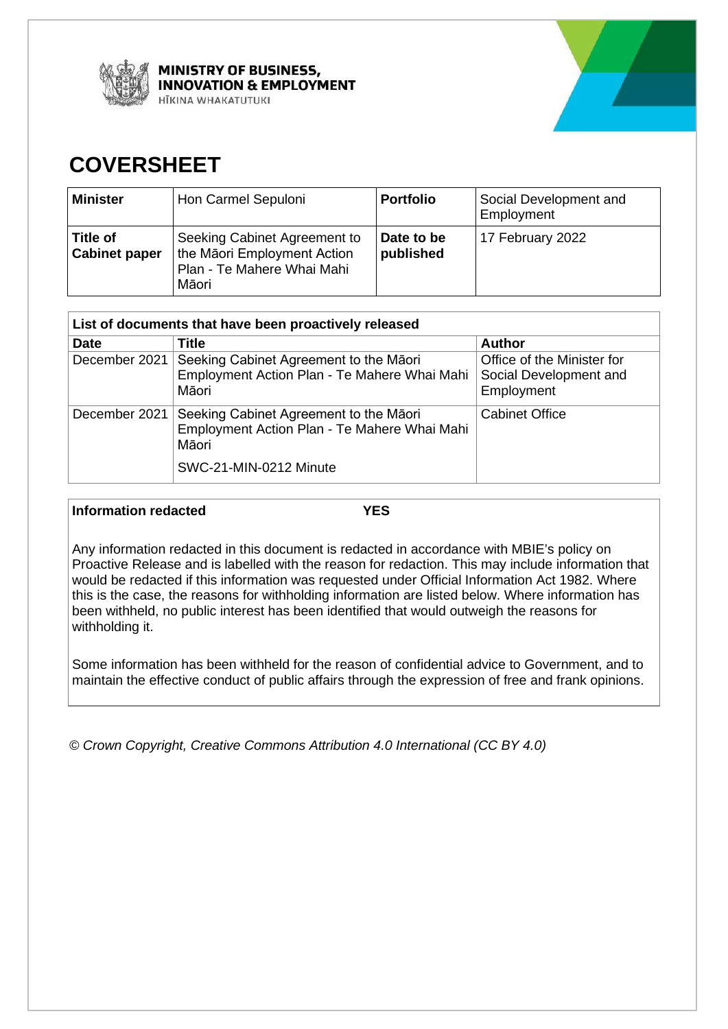

**MINISTRY OF BUSINESS, NNOVATION & EMPLOYMENT ITKINA WHAKATUTUKI** 



# **COVERSHEET**

| <b>Minister</b>                  | Hon Carmel Sepuloni                                                                                | <b>Portfolio</b>        | Social Development and<br>Employment |
|----------------------------------|----------------------------------------------------------------------------------------------------|-------------------------|--------------------------------------|
| Title of<br><b>Cabinet paper</b> | Seeking Cabinet Agreement to<br>the Māori Employment Action<br>Plan - Te Mahere Whai Mahi<br>Māori | Date to be<br>published | 17 February 2022                     |

| List of documents that have been proactively released |                                                                                                                           |                                                                    |  |
|-------------------------------------------------------|---------------------------------------------------------------------------------------------------------------------------|--------------------------------------------------------------------|--|
| <b>Date</b>                                           | Title                                                                                                                     | <b>Author</b>                                                      |  |
| December 2021                                         | Seeking Cabinet Agreement to the Māori<br>Employment Action Plan - Te Mahere Whai Mahi<br>Māori                           | Office of the Minister for<br>Social Development and<br>Employment |  |
| December 2021                                         | Seeking Cabinet Agreement to the Māori<br>Employment Action Plan - Te Mahere Whai Mahi<br>Māori<br>SWC-21-MIN-0212 Minute | <b>Cabinet Office</b>                                              |  |

#### **Information redacted YES**

Any information redacted in this document is redacted in accordance with MBIE's policy on Proactive Release and is labelled with the reason for redaction. This may include information that would be redacted if this information was requested under Official Information Act 1982. Where this is the case, the reasons for withholding information are listed below. Where information has been withheld, no public interest has been identified that would outweigh the reasons for withholding it.

Some information has been withheld for the reason of confidential advice to Government, and to maintain the effective conduct of public affairs through the expression of free and frank opinions.

*© Crown Copyright, Creative Commons Attribution 4.0 International (CC BY 4.0)*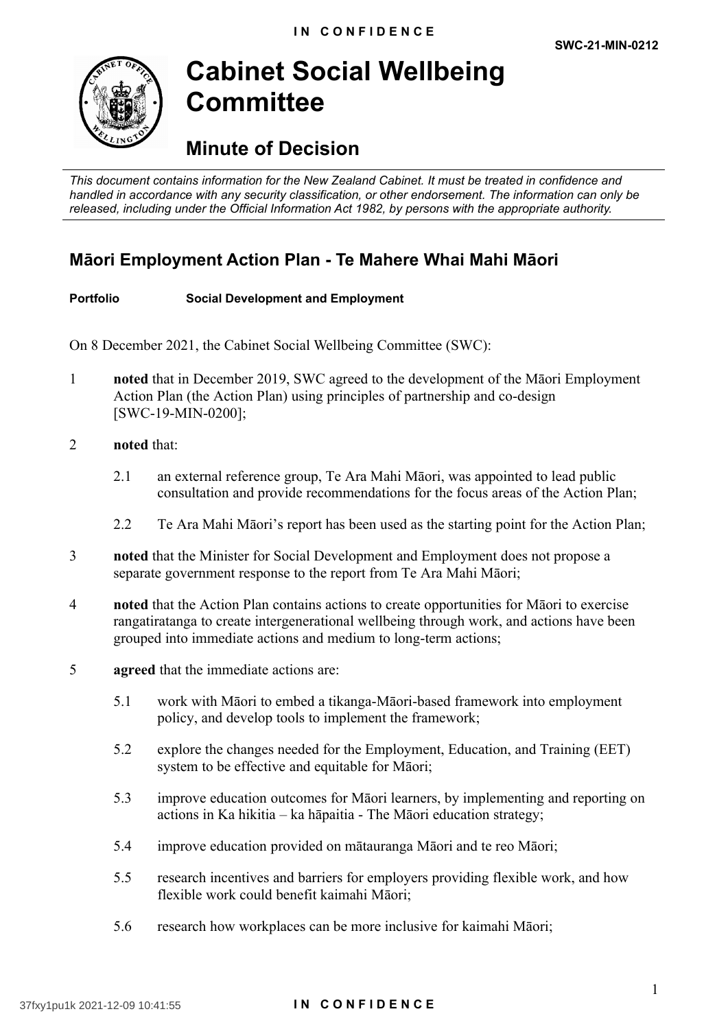

# **Cabinet Social Wellbeing Committee**

# **Minute of Decision**

*This document contains information for the New Zealand Cabinet. It must be treated in confidence and handled in accordance with any security classification, or other endorsement. The information can only be released, including under the Official Information Act 1982, by persons with the appropriate authority.*

## **Māori Employment Action Plan - Te Mahere Whai Mahi Māori**

#### **Portfolio Social Development and Employment**

On 8 December 2021, the Cabinet Social Wellbeing Committee (SWC):

- 1 **noted** that in December 2019, SWC agreed to the development of the Māori Employment Action Plan (the Action Plan) using principles of partnership and co-design [SWC-19-MIN-0200];
- 2 **noted** that:
	- 2.1 an external reference group, Te Ara Mahi Māori, was appointed to lead public consultation and provide recommendations for the focus areas of the Action Plan;
	- 2.2 Te Ara Mahi Māori's report has been used as the starting point for the Action Plan;
- 3 **noted** that the Minister for Social Development and Employment does not propose a separate government response to the report from Te Ara Mahi Māori;
- 4 **noted** that the Action Plan contains actions to create opportunities for Māori to exercise rangatiratanga to create intergenerational wellbeing through work, and actions have been grouped into immediate actions and medium to long-term actions;
- 5 **agreed** that the immediate actions are:
	- 5.1 work with Māori to embed a tikanga-Māori-based framework into employment policy, and develop tools to implement the framework;
	- 5.2 explore the changes needed for the Employment, Education, and Training (EET) system to be effective and equitable for Māori;
	- 5.3 improve education outcomes for Māori learners, by implementing and reporting on actions in Ka hikitia – ka hāpaitia - The Māori education strategy;
	- 5.4 improve education provided on mātauranga Māori and te reo Māori;
	- 5.5 research incentives and barriers for employers providing flexible work, and how flexible work could benefit kaimahi Māori;
	- 5.6 research how workplaces can be more inclusive for kaimahi Māori;